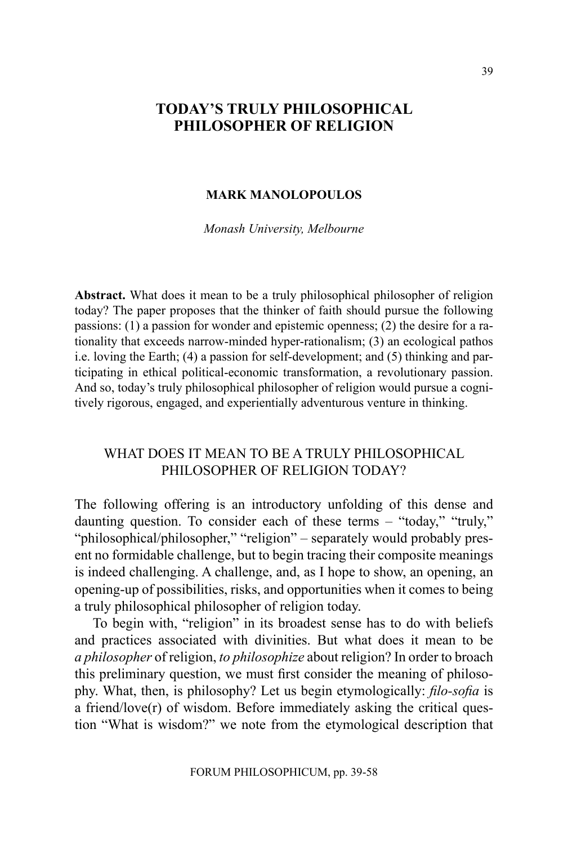## **TODAY'S TRULY PHILOSOPHICAL PHILOSOPHER OF RELIGION**

#### **Mark Manolopoulos**

*Monash University, Melbourne*

**Abstract.** What does it mean to be a truly philosophical philosopher of religion today? The paper proposes that the thinker of faith should pursue the following passions: (1) a passion for wonder and epistemic openness; (2) the desire for a rationality that exceeds narrow-minded hyper-rationalism; (3) an ecological pathos i.e. loving the Earth; (4) a passion for self-development; and (5) thinking and participating in ethical political-economic transformation, a revolutionary passion. And so, today's truly philosophical philosopher of religion would pursue a cognitively rigorous, engaged, and experientially adventurous venture in thinking.

# WHAT DOES IT MEAN TO BE A TRULY PHILOSOPHICAL philosopher of religion today?

The following offering is an introductory unfolding of this dense and daunting question. To consider each of these terms – "today," "truly," "philosophical/philosopher," "religion" – separately would probably present no formidable challenge, but to begin tracing their composite meanings is indeed challenging. A challenge, and, as I hope to show, an opening, an opening-up of possibilities, risks, and opportunities when it comes to being a truly philosophical philosopher of religion today.

To begin with, "religion" in its broadest sense has to do with beliefs and practices associated with divinities. But what does it mean to be *a philosopher* of religion, *to philosophize* about religion? In order to broach this preliminary question, we must first consider the meaning of philosophy. What, then, is philosophy? Let us begin etymologically: *filo-sofia* is a friend/love $(r)$  of wisdom. Before immediately asking the critical question "What is wisdom?" we note from the etymological description that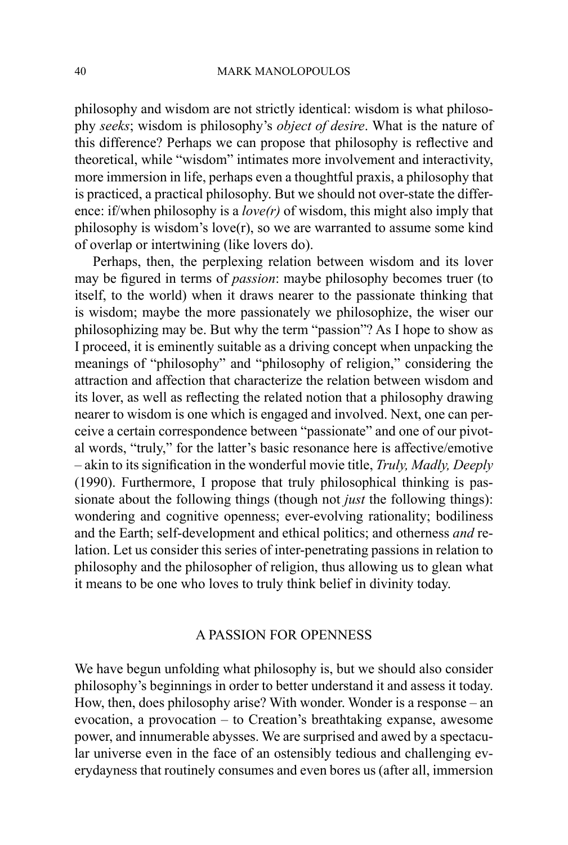philosophy and wisdom are not strictly identical: wisdom is what philosophy *seeks*; wisdom is philosophy's *object of desire*. What is the nature of this difference? Perhaps we can propose that philosophy is reflective and theoretical, while "wisdom" intimates more involvement and interactivity, more immersion in life, perhaps even a thoughtful praxis, a philosophy that is practiced, a practical philosophy. But we should not over-state the difference: if/when philosophy is a *love(r)* of wisdom, this might also imply that philosophy is wisdom's love(r), so we are warranted to assume some kind of overlap or intertwining (like lovers do).

Perhaps, then, the perplexing relation between wisdom and its lover may be figured in terms of *passion*: maybe philosophy becomes truer (to itself, to the world) when it draws nearer to the passionate thinking that is wisdom; maybe the more passionately we philosophize, the wiser our philosophizing may be. But why the term "passion"? As I hope to show as I proceed, it is eminently suitable as a driving concept when unpacking the meanings of "philosophy" and "philosophy of religion," considering the attraction and affection that characterize the relation between wisdom and its lover, as well as reflecting the related notion that a philosophy drawing nearer to wisdom is one which is engaged and involved. Next, one can perceive a certain correspondence between "passionate" and one of our pivotal words, "truly," for the latter's basic resonance here is affective/emotive – akin to its signification in the wonderful movie title, *Truly, Madly, Deeply*  (1990). Furthermore, I propose that truly philosophical thinking is passionate about the following things (though not *just* the following things): wondering and cognitive openness; ever-evolving rationality; bodiliness and the Earth; self-development and ethical politics; and otherness *and* relation. Let us consider this series of inter-penetrating passions in relation to philosophy and the philosopher of religion, thus allowing us to glean what it means to be one who loves to truly think belief in divinity today.

## A Passion for Openness

We have begun unfolding what philosophy is, but we should also consider philosophy's beginnings in order to better understand it and assess it today. How, then, does philosophy arise? With wonder. Wonder is a response – an evocation, a provocation – to Creation's breathtaking expanse, awesome power, and innumerable abysses. We are surprised and awed by a spectacular universe even in the face of an ostensibly tedious and challenging everydayness that routinely consumes and even bores us (after all, immersion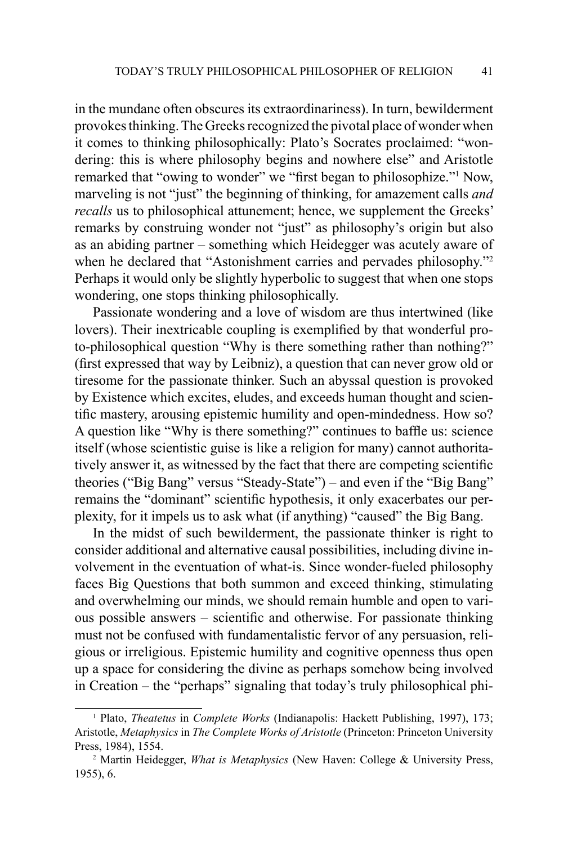in the mundane often obscures its extraordinariness). In turn, bewilderment provokes thinking. The Greeks recognized the pivotal place of wonder when it comes to thinking philosophically: Plato's Socrates proclaimed: "wondering: this is where philosophy begins and nowhere else" and Aristotle remarked that "owing to wonder" we "first began to philosophize."<sup>1</sup> Now, marveling is not "just" the beginning of thinking, for amazement calls *and recalls* us to philosophical attunement; hence, we supplement the Greeks' remarks by construing wonder not "just" as philosophy's origin but also as an abiding partner – something which Heidegger was acutely aware of when he declared that "Astonishment carries and pervades philosophy."<sup>2</sup> Perhaps it would only be slightly hyperbolic to suggest that when one stops wondering, one stops thinking philosophically.

Passionate wondering and a love of wisdom are thus intertwined (like lovers). Their inextricable coupling is exemplified by that wonderful proto-philosophical question "Why is there something rather than nothing?" (first expressed that way by Leibniz), a question that can never grow old or tiresome for the passionate thinker. Such an abyssal question is provoked by Existence which excites, eludes, and exceeds human thought and scientific mastery, arousing epistemic humility and open-mindedness. How so? A question like "Why is there something?" continues to baffle us: science itself (whose scientistic guise is like a religion for many) cannot authoritatively answer it, as witnessed by the fact that there are competing scientific theories ("Big Bang" versus "Steady-State") – and even if the "Big Bang" remains the "dominant" scientific hypothesis, it only exacerbates our perplexity, for it impels us to ask what (if anything) "caused" the Big Bang.

In the midst of such bewilderment, the passionate thinker is right to consider additional and alternative causal possibilities, including divine involvement in the eventuation of what-is. Since wonder-fueled philosophy faces Big Questions that both summon and exceed thinking, stimulating and overwhelming our minds, we should remain humble and open to various possible answers – scientific and otherwise. For passionate thinking must not be confused with fundamentalistic fervor of any persuasion, religious or irreligious. Epistemic humility and cognitive openness thus open up a space for considering the divine as perhaps somehow being involved in Creation – the "perhaps" signaling that today's truly philosophical phi-

<sup>1</sup> Plato, *Theatetus* in *Complete Works* (Indianapolis: Hackett Publishing, 1997), 173; Aristotle, *Metaphysics* in *The Complete Works of Aristotle* (Princeton: Princeton University Press, 1984), 1554. 2 Martin Heidegger, *What is Metaphysics* (New Haven: College & University Press,

<sup>1955), 6.</sup>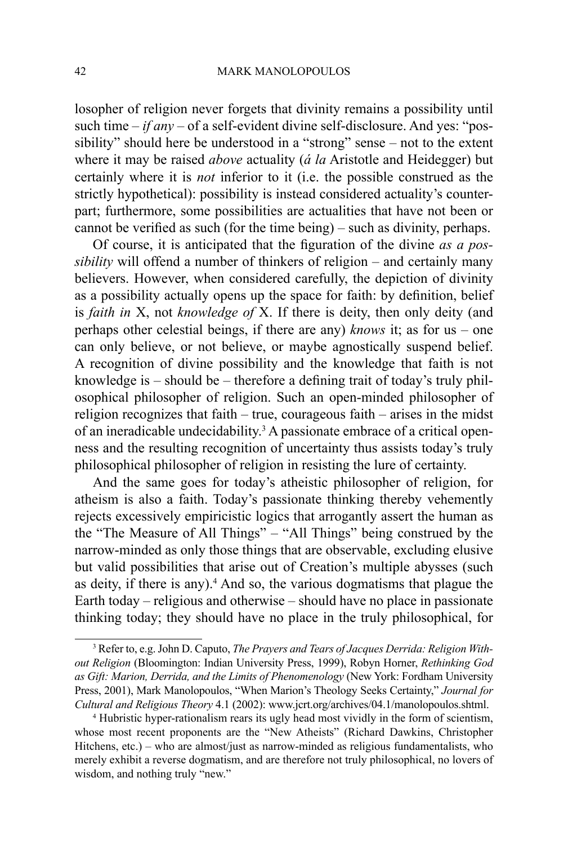losopher of religion never forgets that divinity remains a possibility until such time – *if any* – of a self-evident divine self-disclosure. And yes: "possibility" should here be understood in a "strong" sense – not to the extent where it may be raised *above* actuality (*á la* Aristotle and Heidegger) but certainly where it is *not* inferior to it (i.e. the possible construed as the strictly hypothetical): possibility is instead considered actuality's counterpart; furthermore, some possibilities are actualities that have not been or cannot be verified as such (for the time being) – such as divinity, perhaps.

Of course, it is anticipated that the figuration of the divine *as a possibility* will offend a number of thinkers of religion – and certainly many believers. However, when considered carefully, the depiction of divinity as a possibility actually opens up the space for faith: by definition, belief is *faith in* X, not *knowledge of* X. If there is deity, then only deity (and perhaps other celestial beings, if there are any) *knows* it; as for us – one can only believe, or not believe, or maybe agnostically suspend belief. A recognition of divine possibility and the knowledge that faith is not knowledge is – should be – therefore a defining trait of today's truly philosophical philosopher of religion. Such an open-minded philosopher of religion recognizes that faith – true, courageous faith – arises in the midst of an ineradicable undecidability.<sup>3</sup> A passionate embrace of a critical openness and the resulting recognition of uncertainty thus assists today's truly philosophical philosopher of religion in resisting the lure of certainty.

And the same goes for today's atheistic philosopher of religion, for atheism is also a faith. Today's passionate thinking thereby vehemently rejects excessively empiricistic logics that arrogantly assert the human as the "The Measure of All Things" – "All Things" being construed by the narrow-minded as only those things that are observable, excluding elusive but valid possibilities that arise out of Creation's multiple abysses (such as deity, if there is any).<sup>4</sup> And so, the various dogmatisms that plague the Earth today – religious and otherwise – should have no place in passionate thinking today; they should have no place in the truly philosophical, for

<sup>3</sup> Refer to, e.g. John D. Caputo, *The Prayers and Tears of Jacques Derrida: Religion Without Religion* (Bloomington: Indian University Press, 1999), Robyn Horner, *Rethinking God as Gift: Marion, Derrida, and the Limits of Phenomenology* (New York: Fordham University Press, 2001), Mark Manolopoulos, "When Marion's Theology Seeks Certainty," *Journal for* 

<sup>&</sup>lt;sup>4</sup> Hubristic hyper-rationalism rears its ugly head most vividly in the form of scientism, whose most recent proponents are the "New Atheists" (Richard Dawkins, Christopher Hitchens, etc.) – who are almost/just as narrow-minded as religious fundamentalists, who merely exhibit a reverse dogmatism, and are therefore not truly philosophical, no lovers of wisdom, and nothing truly "new."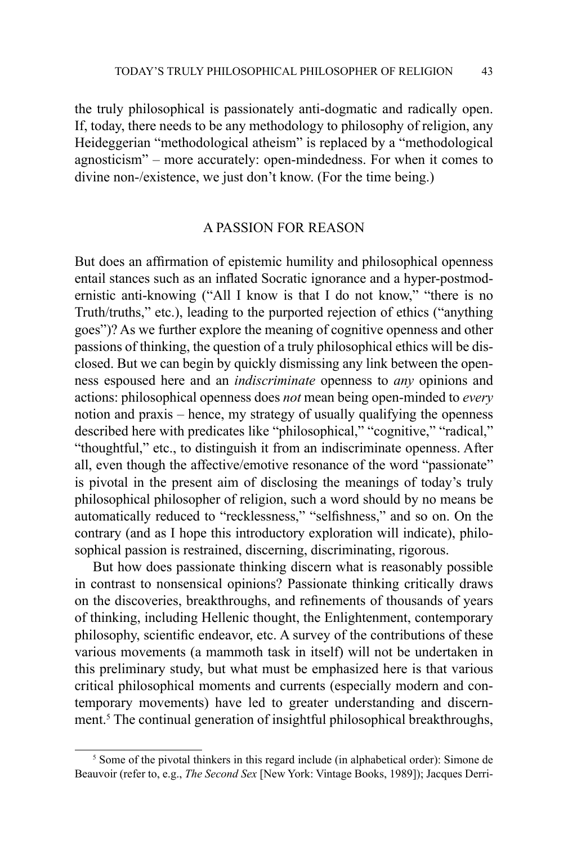the truly philosophical is passionately anti-dogmatic and radically open. If, today, there needs to be any methodology to philosophy of religion, any Heideggerian "methodological atheism" is replaced by a "methodological agnosticism" – more accurately: open-mindedness. For when it comes to divine non-/existence, we just don't know. (For the time being.)

## A Passion for Reason

But does an affirmation of epistemic humility and philosophical openness entail stances such as an inflated Socratic ignorance and a hyper-postmodernistic anti-knowing ("All I know is that I do not know," "there is no Truth/truths," etc.), leading to the purported rejection of ethics ("anything goes")? As we further explore the meaning of cognitive openness and other passions of thinking, the question of a truly philosophical ethics will be disclosed. But we can begin by quickly dismissing any link between the openness espoused here and an *indiscriminate* openness to *any* opinions and actions: philosophical openness does *not* mean being open-minded to *every*  notion and praxis – hence, my strategy of usually qualifying the openness described here with predicates like "philosophical," "cognitive," "radical," "thoughtful," etc., to distinguish it from an indiscriminate openness. After all, even though the affective/emotive resonance of the word "passionate" is pivotal in the present aim of disclosing the meanings of today's truly philosophical philosopher of religion, such a word should by no means be automatically reduced to "recklessness," "selfishness," and so on. On the contrary (and as I hope this introductory exploration will indicate), philosophical passion is restrained, discerning, discriminating, rigorous.

But how does passionate thinking discern what is reasonably possible in contrast to nonsensical opinions? Passionate thinking critically draws on the discoveries, breakthroughs, and refinements of thousands of years of thinking, including Hellenic thought, the Enlightenment, contemporary philosophy, scientific endeavor, etc. A survey of the contributions of these various movements (a mammoth task in itself) will not be undertaken in this preliminary study, but what must be emphasized here is that various critical philosophical moments and currents (especially modern and contemporary movements) have led to greater understanding and discernment.<sup>5</sup> The continual generation of insightful philosophical breakthroughs,

<sup>&</sup>lt;sup>5</sup> Some of the pivotal thinkers in this regard include (in alphabetical order): Simone de Beauvoir (refer to, e.g., *The Second Sex* [New York: Vintage Books, 1989]); Jacques Derri-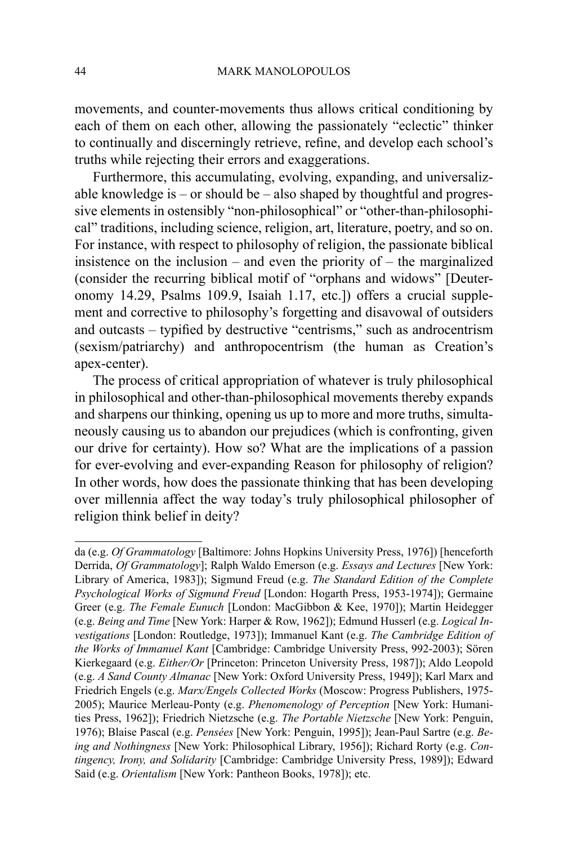movements, and counter-movements thus allows critical conditioning by each of them on each other, allowing the passionately "eclectic" thinker to continually and discerningly retrieve, refine, and develop each school's truths while rejecting their errors and exaggerations.

Furthermore, this accumulating, evolving, expanding, and universalizable knowledge is – or should be – also shaped by thoughtful and progressive elements in ostensibly "non-philosophical" or "other-than-philosophical" traditions, including science, religion, art, literature, poetry, and so on. For instance, with respect to philosophy of religion, the passionate biblical insistence on the inclusion – and even the priority of – the marginalized (consider the recurring biblical motif of "orphans and widows" [Deuteronomy 14.29, Psalms 109.9, Isaiah 1.17, etc.]) offers a crucial supplement and corrective to philosophy's forgetting and disavowal of outsiders and outcasts – typified by destructive "centrisms," such as androcentrism (sexism/patriarchy) and anthropocentrism (the human as Creation's apex-center).

The process of critical appropriation of whatever is truly philosophical in philosophical and other-than-philosophical movements thereby expands and sharpens our thinking, opening us up to more and more truths, simultaneously causing us to abandon our prejudices (which is confronting, given our drive for certainty). How so? What are the implications of a passion for ever-evolving and ever-expanding Reason for philosophy of religion? In other words, how does the passionate thinking that has been developing over millennia affect the way today's truly philosophical philosopher of religion think belief in deity?

da (e.g. *Of Grammatology* [Baltimore: Johns Hopkins University Press, 1976]) [henceforth Derrida, *Of Grammatology*]; Ralph Waldo Emerson (e.g. *Essays and Lectures* [New York: Library of America, 1983]); Sigmund Freud (e.g. *The Standard Edition of the Complete Psychological Works of Sigmund Freud* [London: Hogarth Press, 1953-1974]); Germaine Greer (e.g. *The Female Eunuch* [London: MacGibbon & Kee, 1970]); Martin Heidegger (e.g. *Being and Time* [New York: Harper & Row, 1962]); Edmund Husserl (e.g. *Logical Investigations* [London: Routledge, 1973]); Immanuel Kant (e.g. *The Cambridge Edition of the Works of Immanuel Kant* [Cambridge: Cambridge University Press, 992-2003); Sören Kierkegaard (e.g. *Either/Or* [Princeton: Princeton University Press, 1987]); Aldo Leopold (e.g. *A Sand County Almanac* [New York: Oxford University Press, 1949]); Karl Marx and Friedrich Engels (e.g. *Marx/Engels Collected Works* (Moscow: Progress Publishers, 1975- 2005); Maurice Merleau-Ponty (e.g. *Phenomenology of Perception* [New York: Humanities Press, 1962]); Friedrich Nietzsche (e.g. *The Portable Nietzsche* [New York: Penguin, 1976); Blaise Pascal (e.g. *Pensées* [New York: Penguin, 1995]); Jean-Paul Sartre (e.g. *Being and Nothingness* [New York: Philosophical Library, 1956]); Richard Rorty (e.g. *Contingency, Irony, and Solidarity* [Cambridge: Cambridge University Press, 1989]); Edward Said (e.g. *Orientalism* [New York: Pantheon Books, 1978]); etc.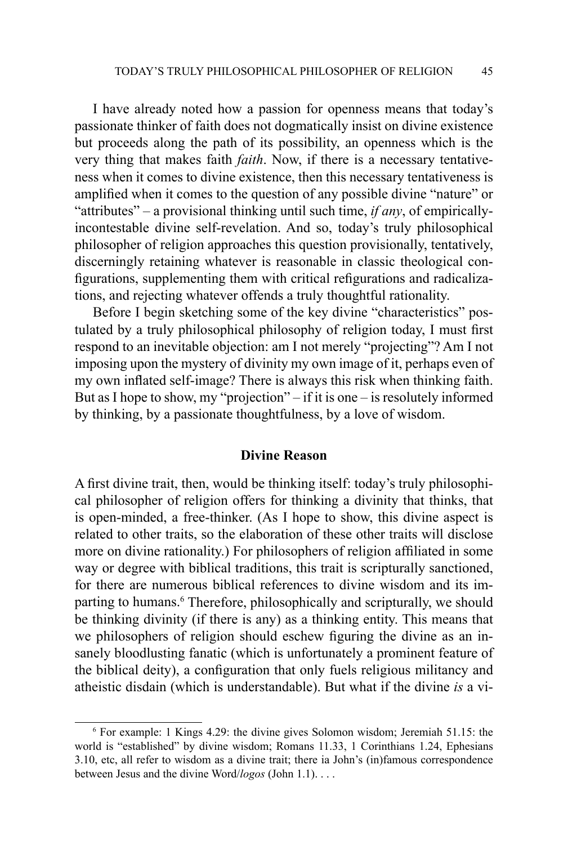I have already noted how a passion for openness means that today's passionate thinker of faith does not dogmatically insist on divine existence but proceeds along the path of its possibility, an openness which is the very thing that makes faith *faith*. Now, if there is a necessary tentativeness when it comes to divine existence, then this necessary tentativeness is amplified when it comes to the question of any possible divine "nature" or "attributes" – a provisional thinking until such time, *if any*, of empiricallyincontestable divine self-revelation. And so, today's truly philosophical philosopher of religion approaches this question provisionally, tentatively, discerningly retaining whatever is reasonable in classic theological configurations, supplementing them with critical refigurations and radicalizations, and rejecting whatever offends a truly thoughtful rationality.

Before I begin sketching some of the key divine "characteristics" postulated by a truly philosophical philosophy of religion today, I must first respond to an inevitable objection: am I not merely "projecting"? Am I not imposing upon the mystery of divinity my own image of it, perhaps even of my own inflated self-image? There is always this risk when thinking faith. But as I hope to show, my "projection" – if it is one – is resolutely informed by thinking, by a passionate thoughtfulness, by a love of wisdom.

#### **Divine Reason**

A first divine trait, then, would be thinking itself: today's truly philosophical philosopher of religion offers for thinking a divinity that thinks, that is open-minded, a free-thinker. (As I hope to show, this divine aspect is related to other traits, so the elaboration of these other traits will disclose more on divine rationality.) For philosophers of religion affiliated in some way or degree with biblical traditions, this trait is scripturally sanctioned, for there are numerous biblical references to divine wisdom and its imparting to humans.<sup>6</sup> Therefore, philosophically and scripturally, we should be thinking divinity (if there is any) as a thinking entity. This means that we philosophers of religion should eschew figuring the divine as an insanely bloodlusting fanatic (which is unfortunately a prominent feature of the biblical deity), a configuration that only fuels religious militancy and atheistic disdain (which is understandable). But what if the divine *is* a vi-

<sup>6</sup> For example: 1 Kings 4.29: the divine gives Solomon wisdom; Jeremiah 51.15: the world is "established" by divine wisdom; Romans 11.33, 1 Corinthians 1.24, Ephesians 3.10, etc, all refer to wisdom as a divine trait; there ia John's (in)famous correspondence between Jesus and the divine Word/*logos* (John 1.1). . . .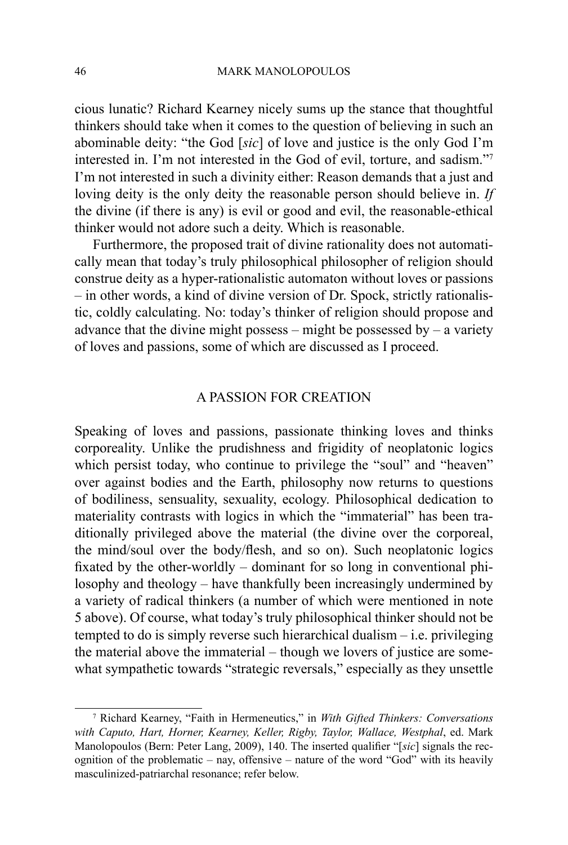cious lunatic? Richard Kearney nicely sums up the stance that thoughtful thinkers should take when it comes to the question of believing in such an abominable deity: "the God [*sic*] of love and justice is the only God I'm interested in. I'm not interested in the God of evil, torture, and sadism."7 I'm not interested in such a divinity either: Reason demands that a just and loving deity is the only deity the reasonable person should believe in. *If* the divine (if there is any) is evil or good and evil, the reasonable-ethical thinker would not adore such a deity. Which is reasonable.

Furthermore, the proposed trait of divine rationality does not automatically mean that today's truly philosophical philosopher of religion should construe deity as a hyper-rationalistic automaton without loves or passions – in other words, a kind of divine version of Dr. Spock, strictly rationalistic, coldly calculating. No: today's thinker of religion should propose and advance that the divine might possess – might be possessed by – a variety of loves and passions, some of which are discussed as I proceed.

#### A Passion for Creation

Speaking of loves and passions, passionate thinking loves and thinks corporeality. Unlike the prudishness and frigidity of neoplatonic logics which persist today, who continue to privilege the "soul" and "heaven" over against bodies and the Earth, philosophy now returns to questions of bodiliness, sensuality, sexuality, ecology. Philosophical dedication to materiality contrasts with logics in which the "immaterial" has been traditionally privileged above the material (the divine over the corporeal, the mind/soul over the body/flesh, and so on). Such neoplatonic logics fixated by the other-worldly – dominant for so long in conventional philosophy and theology – have thankfully been increasingly undermined by a variety of radical thinkers (a number of which were mentioned in note 5 above). Of course, what today's truly philosophical thinker should not be tempted to do is simply reverse such hierarchical dualism – i.e. privileging the material above the immaterial – though we lovers of justice are somewhat sympathetic towards "strategic reversals," especially as they unsettle

<sup>7</sup> Richard Kearney, "Faith in Hermeneutics," in *With Gifted Thinkers: Conversations with Caputo, Hart, Horner, Kearney, Keller, Rigby, Taylor, Wallace, Westphal*, ed. Mark Manolopoulos (Bern: Peter Lang, 2009), 140. The inserted qualifier "[*sic*] signals the recognition of the problematic – nay, offensive – nature of the word "God" with its heavily masculinized-patriarchal resonance; refer below.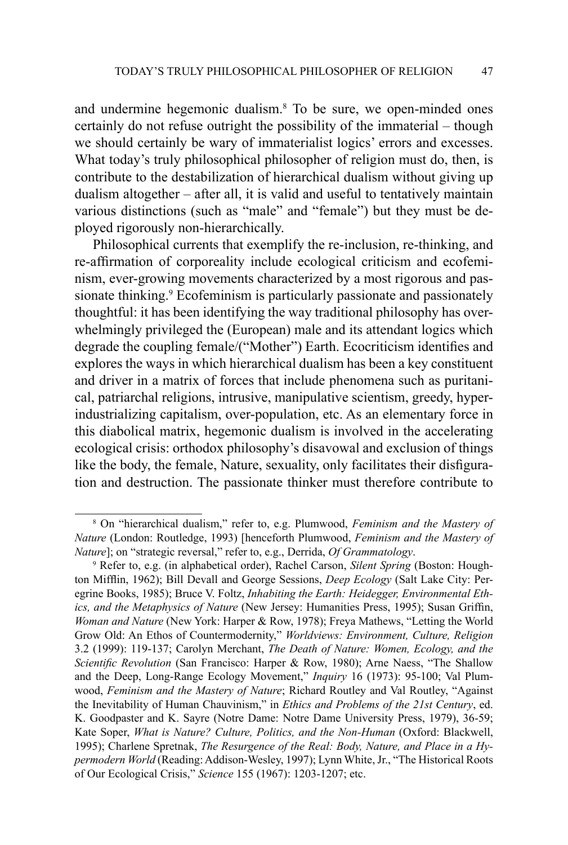and undermine hegemonic dualism.8 To be sure, we open-minded ones certainly do not refuse outright the possibility of the immaterial – though we should certainly be wary of immaterialist logics' errors and excesses. What today's truly philosophical philosopher of religion must do, then, is contribute to the destabilization of hierarchical dualism without giving up dualism altogether – after all, it is valid and useful to tentatively maintain various distinctions (such as "male" and "female") but they must be deployed rigorously non-hierarchically.

Philosophical currents that exemplify the re-inclusion, re-thinking, and re-affirmation of corporeality include ecological criticism and ecofeminism, ever-growing movements characterized by a most rigorous and passionate thinking.<sup>9</sup> Ecofeminism is particularly passionate and passionately thoughtful: it has been identifying the way traditional philosophy has overwhelmingly privileged the (European) male and its attendant logics which degrade the coupling female/("Mother") Earth. Ecocriticism identifies and explores the ways in which hierarchical dualism has been a key constituent and driver in a matrix of forces that include phenomena such as puritanical, patriarchal religions, intrusive, manipulative scientism, greedy, hyperindustrializing capitalism, over-population, etc. As an elementary force in this diabolical matrix, hegemonic dualism is involved in the accelerating ecological crisis: orthodox philosophy's disavowal and exclusion of things like the body, the female, Nature, sexuality, only facilitates their disfiguration and destruction. The passionate thinker must therefore contribute to

<sup>8</sup> On "hierarchical dualism," refer to, e.g. Plumwood, *Feminism and the Mastery of Nature* (London: Routledge, 1993) [henceforth Plumwood, *Feminism and the Mastery of Nature*]; on "strategic reversal," refer to, e.g., Derrida, *Of Grammatology*.

<sup>9</sup> Refer to, e.g. (in alphabetical order), Rachel Carson, *Silent Spring* (Boston: Houghton Mifflin, 1962); Bill Devall and George Sessions, *Deep Ecology* (Salt Lake City: Peregrine Books, 1985); Bruce V. Foltz, *Inhabiting the Earth: Heidegger, Environmental Ethics, and the Metaphysics of Nature* (New Jersey: Humanities Press, 1995); Susan Griffin, *Woman and Nature* (New York: Harper & Row, 1978); Freya Mathews, "Letting the World Grow Old: An Ethos of Countermodernity," *Worldviews: Environment, Culture, Religion* 3.2 (1999): 119-137; Carolyn Merchant, *The Death of Nature: Women, Ecology, and the Scientific Revolution* (San Francisco: Harper & Row, 1980); Arne Naess, "The Shallow and the Deep, Long-Range Ecology Movement," *Inquiry* 16 (1973): 95-100; Val Plumwood, *Feminism and the Mastery of Nature*; Richard Routley and Val Routley, "Against the Inevitability of Human Chauvinism," in *Ethics and Problems of the 21st Century*, ed. K. Goodpaster and K. Sayre (Notre Dame: Notre Dame University Press, 1979), 36-59; Kate Soper, *What is Nature? Culture, Politics, and the Non-Human* (Oxford: Blackwell, 1995); Charlene Spretnak, *The Resurgence of the Real: Body, Nature, and Place in a Hypermodern World* (Reading: Addison-Wesley, 1997); Lynn White, Jr., "The Historical Roots of Our Ecological Crisis," *Science* 155 (1967): 1203-1207; etc.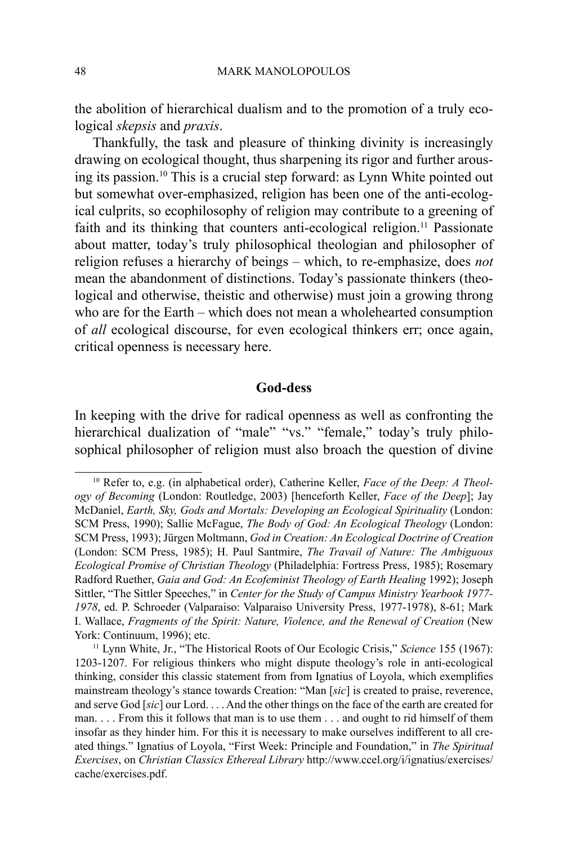the abolition of hierarchical dualism and to the promotion of a truly ecological *skepsis* and *praxis*.

Thankfully, the task and pleasure of thinking divinity is increasingly drawing on ecological thought, thus sharpening its rigor and further arousing its passion.10 This is a crucial step forward: as Lynn White pointed out but somewhat over-emphasized, religion has been one of the anti-ecological culprits, so ecophilosophy of religion may contribute to a greening of faith and its thinking that counters anti-ecological religion.<sup>11</sup> Passionate about matter, today's truly philosophical theologian and philosopher of religion refuses a hierarchy of beings – which, to re-emphasize, does *not* mean the abandonment of distinctions. Today's passionate thinkers (theological and otherwise, theistic and otherwise) must join a growing throng who are for the Earth – which does not mean a wholehearted consumption of *all* ecological discourse, for even ecological thinkers err; once again, critical openness is necessary here.

## **God-dess**

In keeping with the drive for radical openness as well as confronting the hierarchical dualization of "male" "vs." "female," today's truly philosophical philosopher of religion must also broach the question of divine

<sup>10</sup> Refer to, e.g. (in alphabetical order), Catherine Keller, *Face of the Deep: A Theology of Becoming* (London: Routledge, 2003) [henceforth Keller, *Face of the Deep*]; Jay McDaniel, *Earth, Sky, Gods and Mortals: Developing an Ecological Spirituality* (London: SCM Press, 1990); Sallie McFague, *The Body of God: An Ecological Theology* (London: SCM Press, 1993); Jürgen Moltmann, *God in Creation: An Ecological Doctrine of Creation*  (London: SCM Press, 1985); H. Paul Santmire, *The Travail of Nature: The Ambiguous Ecological Promise of Christian Theology* (Philadelphia: Fortress Press, 1985); Rosemary Radford Ruether, *Gaia and God: An Ecofeminist Theology of Earth Healing* 1992); Joseph Sittler, "The Sittler Speeches," in *Center for the Study of Campus Ministry Yearbook 1977- 1978*, ed. P. Schroeder (Valparaiso: Valparaiso University Press, 1977-1978), 8-61; Mark I. Wallace, *Fragments of the Spirit: Nature, Violence, and the Renewal of Creation* (New York: Continuum, 1996); etc.

<sup>11</sup> Lynn White, Jr., "The Historical Roots of Our Ecologic Crisis," *Science* 155 (1967): 1203-1207. For religious thinkers who might dispute theology's role in anti-ecological thinking, consider this classic statement from from Ignatius of Loyola, which exemplifies mainstream theology's stance towards Creation: "Man [*sic*] is created to praise, reverence, and serve God [*sic*] our Lord. . . . And the other things on the face of the earth are created for man. . . . From this it follows that man is to use them . . . and ought to rid himself of them insofar as they hinder him. For this it is necessary to make ourselves indifferent to all created things." Ignatius of Loyola, "First Week: Principle and Foundation," in *The Spiritual Exercises*, on *Christian Classics Ethereal Library* http://www.ccel.org/i/ignatius/exercises/ cache/exercises.pdf.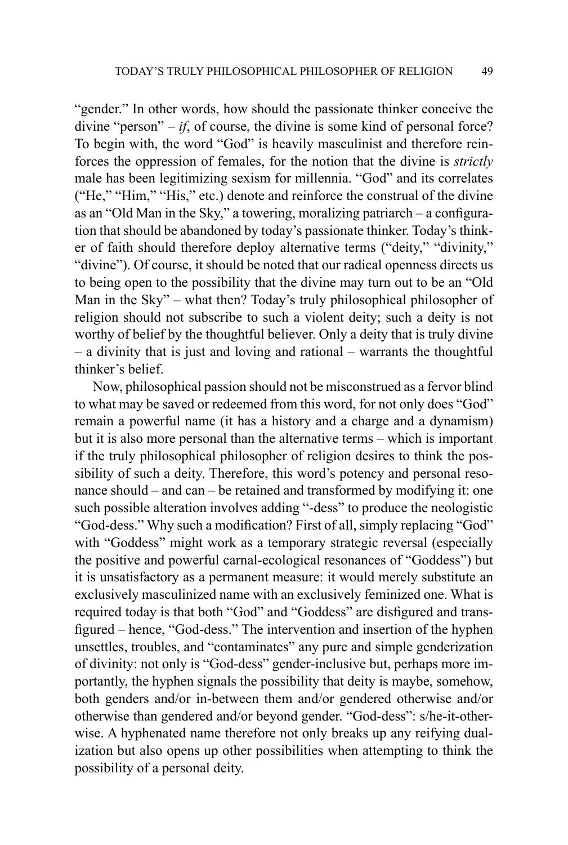"gender." In other words, how should the passionate thinker conceive the divine "person"  $-i f$ , of course, the divine is some kind of personal force? To begin with, the word "God" is heavily masculinist and therefore reinforces the oppression of females, for the notion that the divine is *strictly*  male has been legitimizing sexism for millennia. "God" and its correlates ("He," "Him," "His," etc.) denote and reinforce the construal of the divine as an "Old Man in the Sky," a towering, moralizing patriarch – a configuration that should be abandoned by today's passionate thinker. Today's thinker of faith should therefore deploy alternative terms ("deity," "divinity," "divine"). Of course, it should be noted that our radical openness directs us to being open to the possibility that the divine may turn out to be an "Old Man in the Sky" – what then? Today's truly philosophical philosopher of religion should not subscribe to such a violent deity; such a deity is not worthy of belief by the thoughtful believer. Only a deity that is truly divine – a divinity that is just and loving and rational – warrants the thoughtful thinker's belief.

Now, philosophical passion should not be misconstrued as a fervor blind to what may be saved or redeemed from this word, for not only does "God" remain a powerful name (it has a history and a charge and a dynamism) but it is also more personal than the alternative terms – which is important if the truly philosophical philosopher of religion desires to think the possibility of such a deity. Therefore, this word's potency and personal resonance should – and can – be retained and transformed by modifying it: one such possible alteration involves adding "-dess" to produce the neologistic "God-dess." Why such a modification? First of all, simply replacing "God" with "Goddess" might work as a temporary strategic reversal (especially the positive and powerful carnal-ecological resonances of "Goddess") but it is unsatisfactory as a permanent measure: it would merely substitute an exclusively masculinized name with an exclusively feminized one. What is required today is that both "God" and "Goddess" are disfigured and transfigured – hence, "God-dess." The intervention and insertion of the hyphen unsettles, troubles, and "contaminates" any pure and simple genderization of divinity: not only is "God-dess" gender-inclusive but, perhaps more importantly, the hyphen signals the possibility that deity is maybe, somehow, both genders and/or in-between them and/or gendered otherwise and/or otherwise than gendered and/or beyond gender. "God-dess": s/he-it-otherwise. A hyphenated name therefore not only breaks up any reifying dualization but also opens up other possibilities when attempting to think the possibility of a personal deity.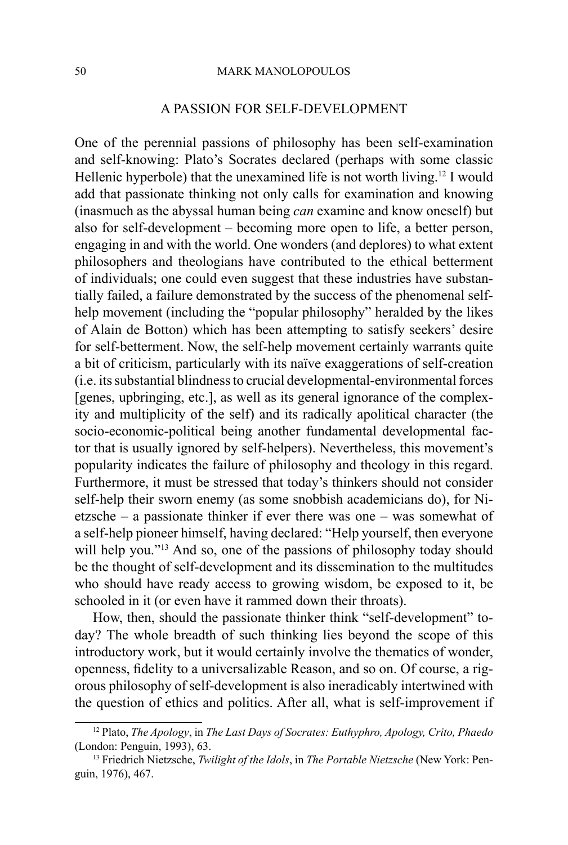#### 50 MARK MANOLOPOULOS

#### A Passion for Self-Development

One of the perennial passions of philosophy has been self-examination and self-knowing: Plato's Socrates declared (perhaps with some classic Hellenic hyperbole) that the unexamined life is not worth living.<sup>12</sup> I would add that passionate thinking not only calls for examination and knowing (inasmuch as the abyssal human being *can* examine and know oneself) but also for self-development – becoming more open to life, a better person, engaging in and with the world. One wonders (and deplores) to what extent philosophers and theologians have contributed to the ethical betterment of individuals; one could even suggest that these industries have substantially failed, a failure demonstrated by the success of the phenomenal selfhelp movement (including the "popular philosophy" heralded by the likes of Alain de Botton) which has been attempting to satisfy seekers' desire for self-betterment. Now, the self-help movement certainly warrants quite a bit of criticism, particularly with its naïve exaggerations of self-creation (i.e. its substantial blindness to crucial developmental-environmental forces [genes, upbringing, etc.], as well as its general ignorance of the complexity and multiplicity of the self) and its radically apolitical character (the socio-economic-political being another fundamental developmental factor that is usually ignored by self-helpers). Nevertheless, this movement's popularity indicates the failure of philosophy and theology in this regard. Furthermore, it must be stressed that today's thinkers should not consider self-help their sworn enemy (as some snobbish academicians do), for Nietzsche – a passionate thinker if ever there was one – was somewhat of a self-help pioneer himself, having declared: "Help yourself, then everyone will help you."<sup>13</sup> And so, one of the passions of philosophy today should be the thought of self-development and its dissemination to the multitudes who should have ready access to growing wisdom, be exposed to it, be schooled in it (or even have it rammed down their throats).

How, then, should the passionate thinker think "self-development" today? The whole breadth of such thinking lies beyond the scope of this introductory work, but it would certainly involve the thematics of wonder, openness, fidelity to a universalizable Reason, and so on. Of course, a rigorous philosophy of self-development is also ineradicably intertwined with the question of ethics and politics. After all, what is self-improvement if

<sup>12</sup> Plato, *The Apology*, in *The Last Days of Socrates: Euthyphro, Apology, Crito, Phaedo*  (London: Penguin, 1993), 63.

<sup>13</sup> Friedrich Nietzsche, *Twilight of the Idols*, in *The Portable Nietzsche* (New York: Penguin, 1976), 467.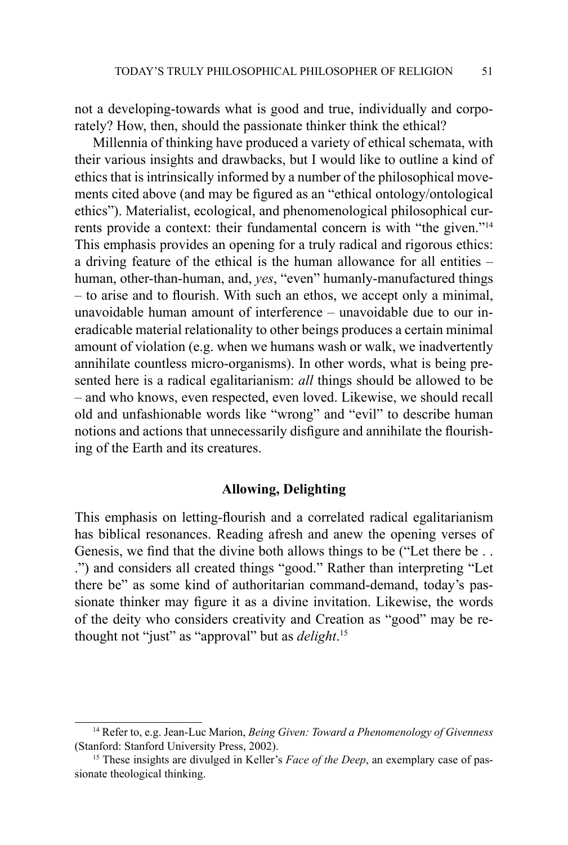not a developing-towards what is good and true, individually and corporately? How, then, should the passionate thinker think the ethical?

Millennia of thinking have produced a variety of ethical schemata, with their various insights and drawbacks, but I would like to outline a kind of ethics that is intrinsically informed by a number of the philosophical movements cited above (and may be figured as an "ethical ontology/ontological ethics"). Materialist, ecological, and phenomenological philosophical currents provide a context: their fundamental concern is with "the given."14 This emphasis provides an opening for a truly radical and rigorous ethics: a driving feature of the ethical is the human allowance for all entities – human, other-than-human, and, *yes*, "even" humanly-manufactured things – to arise and to flourish. With such an ethos, we accept only a minimal, unavoidable human amount of interference – unavoidable due to our ineradicable material relationality to other beings produces a certain minimal amount of violation (e.g. when we humans wash or walk, we inadvertently annihilate countless micro-organisms). In other words, what is being presented here is a radical egalitarianism: *all* things should be allowed to be – and who knows, even respected, even loved. Likewise, we should recall old and unfashionable words like "wrong" and "evil" to describe human notions and actions that unnecessarily disfigure and annihilate the flourishing of the Earth and its creatures.

#### **Allowing, Delighting**

This emphasis on letting-flourish and a correlated radical egalitarianism has biblical resonances. Reading afresh and anew the opening verses of Genesis, we find that the divine both allows things to be ("Let there be . . .") and considers all created things "good." Rather than interpreting "Let there be" as some kind of authoritarian command-demand, today's passionate thinker may figure it as a divine invitation. Likewise, the words of the deity who considers creativity and Creation as "good" may be rethought not "just" as "approval" but as *delight*. 15

<sup>14</sup> Refer to, e.g. Jean-Luc Marion, *Being Given: Toward a Phenomenology of Givenness*  (Stanford: Stanford University Press, 2002).<br><sup>15</sup> These insights are divulged in Keller's *Face of the Deep*, an exemplary case of pas-

sionate theological thinking.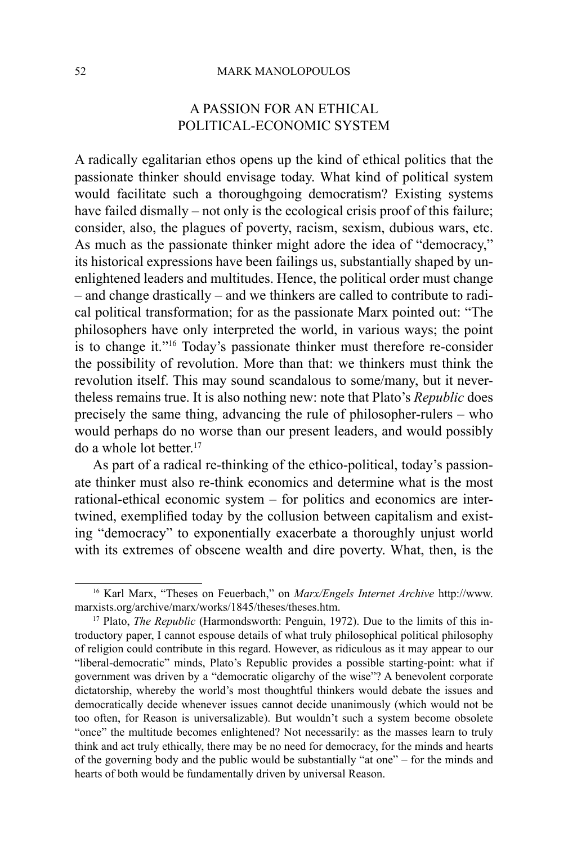# A Passion for an Ethical Political-Economic System

A radically egalitarian ethos opens up the kind of ethical politics that the passionate thinker should envisage today. What kind of political system would facilitate such a thoroughgoing democratism? Existing systems have failed dismally – not only is the ecological crisis proof of this failure; consider, also, the plagues of poverty, racism, sexism, dubious wars, etc. As much as the passionate thinker might adore the idea of "democracy," its historical expressions have been failings us, substantially shaped by unenlightened leaders and multitudes. Hence, the political order must change – and change drastically – and we thinkers are called to contribute to radical political transformation; for as the passionate Marx pointed out: "The philosophers have only interpreted the world, in various ways; the point is to change it."16 Today's passionate thinker must therefore re-consider the possibility of revolution. More than that: we thinkers must think the revolution itself. This may sound scandalous to some/many, but it nevertheless remains true. It is also nothing new: note that Plato's *Republic* does precisely the same thing, advancing the rule of philosopher-rulers – who would perhaps do no worse than our present leaders, and would possibly do a whole lot better.<sup>17</sup>

As part of a radical re-thinking of the ethico-political, today's passionate thinker must also re-think economics and determine what is the most rational-ethical economic system – for politics and economics are intertwined, exemplified today by the collusion between capitalism and existing "democracy" to exponentially exacerbate a thoroughly unjust world with its extremes of obscene wealth and dire poverty. What, then, is the

<sup>16</sup> Karl Marx, "Theses on Feuerbach," on *Marx/Engels Internet Archive* http://www. marxists.org/archive/marx/works/1845/theses/theses.htm.

<sup>&</sup>lt;sup>17</sup> Plato, *The Republic* (Harmondsworth: Penguin, 1972). Due to the limits of this introductory paper, I cannot espouse details of what truly philosophical political philosophy of religion could contribute in this regard. However, as ridiculous as it may appear to our "liberal-democratic" minds, Plato's Republic provides a possible starting-point: what if government was driven by a "democratic oligarchy of the wise"? A benevolent corporate dictatorship, whereby the world's most thoughtful thinkers would debate the issues and democratically decide whenever issues cannot decide unanimously (which would not be too often, for Reason is universalizable). But wouldn't such a system become obsolete "once" the multitude becomes enlightened? Not necessarily: as the masses learn to truly think and act truly ethically, there may be no need for democracy, for the minds and hearts of the governing body and the public would be substantially "at one" – for the minds and hearts of both would be fundamentally driven by universal Reason.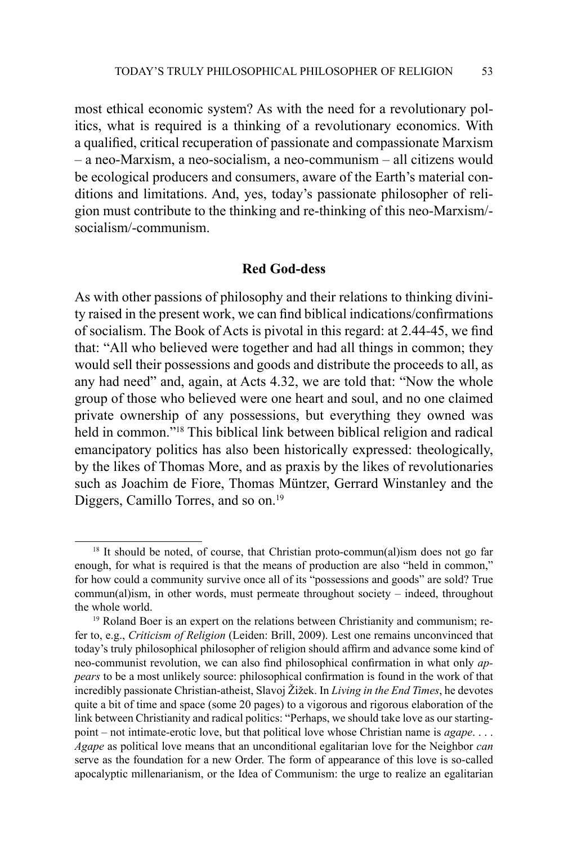most ethical economic system? As with the need for a revolutionary politics, what is required is a thinking of a revolutionary economics. With a qualified, critical recuperation of passionate and compassionate Marxism – a neo-Marxism, a neo-socialism, a neo-communism – all citizens would be ecological producers and consumers, aware of the Earth's material conditions and limitations. And, yes, today's passionate philosopher of religion must contribute to the thinking and re-thinking of this neo-Marxism/ socialism/-communism.

## **Red God-dess**

As with other passions of philosophy and their relations to thinking divinity raised in the present work, we can find biblical indications/confirmations of socialism. The Book of Acts is pivotal in this regard: at 2.44-45, we find that: "All who believed were together and had all things in common; they would sell their possessions and goods and distribute the proceeds to all, as any had need" and, again, at Acts 4.32, we are told that: "Now the whole group of those who believed were one heart and soul, and no one claimed private ownership of any possessions, but everything they owned was held in common."18 This biblical link between biblical religion and radical emancipatory politics has also been historically expressed: theologically, by the likes of Thomas More, and as praxis by the likes of revolutionaries such as Joachim de Fiore, Thomas Müntzer, Gerrard Winstanley and the Diggers, Camillo Torres, and so on.<sup>19</sup>

<sup>&</sup>lt;sup>18</sup> It should be noted, of course, that Christian proto-commun(al)ism does not go far enough, for what is required is that the means of production are also "held in common," for how could a community survive once all of its "possessions and goods" are sold? True commun(al)ism, in other words, must permeate throughout society – indeed, throughout the whole world.

<sup>&</sup>lt;sup>19</sup> Roland Boer is an expert on the relations between Christianity and communism; refer to, e.g., *Criticism of Religion* (Leiden: Brill, 2009). Lest one remains unconvinced that today's truly philosophical philosopher of religion should affirm and advance some kind of neo-communist revolution, we can also find philosophical confirmation in what only *appears* to be a most unlikely source: philosophical confirmation is found in the work of that incredibly passionate Christian-atheist, Slavoj Žižek. In *Living in the End Times*, he devotes quite a bit of time and space (some 20 pages) to a vigorous and rigorous elaboration of the link between Christianity and radical politics: "Perhaps, we should take love as our startingpoint – not intimate-erotic love, but that political love whose Christian name is *agape*. . . . *Agape* as political love means that an unconditional egalitarian love for the Neighbor *can*  serve as the foundation for a new Order. The form of appearance of this love is so-called apocalyptic millenarianism, or the Idea of Communism: the urge to realize an egalitarian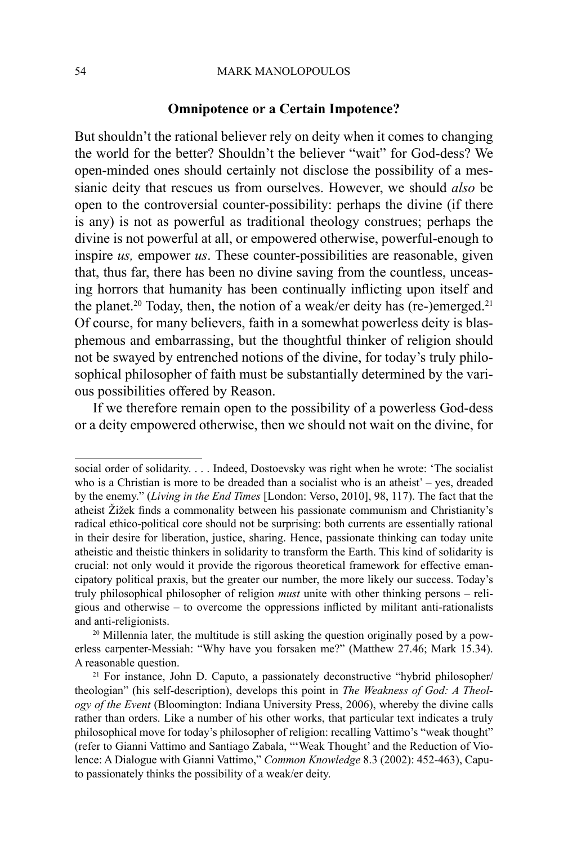#### 54 MARK MANOLOPOULOS

#### **Omnipotence or a Certain Impotence?**

But shouldn't the rational believer rely on deity when it comes to changing the world for the better? Shouldn't the believer "wait" for God-dess? We open-minded ones should certainly not disclose the possibility of a messianic deity that rescues us from ourselves. However, we should *also* be open to the controversial counter-possibility: perhaps the divine (if there is any) is not as powerful as traditional theology construes; perhaps the divine is not powerful at all, or empowered otherwise, powerful-enough to inspire *us,* empower *us*. These counter-possibilities are reasonable, given that, thus far, there has been no divine saving from the countless, unceasing horrors that humanity has been continually inflicting upon itself and the planet.<sup>20</sup> Today, then, the notion of a weak/er deity has (re-)emerged.<sup>21</sup> Of course, for many believers, faith in a somewhat powerless deity is blasphemous and embarrassing, but the thoughtful thinker of religion should not be swayed by entrenched notions of the divine, for today's truly philosophical philosopher of faith must be substantially determined by the various possibilities offered by Reason.

If we therefore remain open to the possibility of a powerless God-dess or a deity empowered otherwise, then we should not wait on the divine, for

social order of solidarity. . . . Indeed, Dostoevsky was right when he wrote: 'The socialist who is a Christian is more to be dreaded than a socialist who is an atheist' – yes, dreaded by the enemy." (*Living in the End Times* [London: Verso, 2010], 98, 117). The fact that the atheist Žižek finds a commonality between his passionate communism and Christianity's radical ethico-political core should not be surprising: both currents are essentially rational in their desire for liberation, justice, sharing. Hence, passionate thinking can today unite atheistic and theistic thinkers in solidarity to transform the Earth. This kind of solidarity is crucial: not only would it provide the rigorous theoretical framework for effective emancipatory political praxis, but the greater our number, the more likely our success. Today's truly philosophical philosopher of religion *must* unite with other thinking persons – religious and otherwise – to overcome the oppressions inflicted by militant anti-rationalists and anti-religionists. 20 Millennia later, the multitude is still asking the question originally posed by a pow-

erless carpenter-Messiah: "Why have you forsaken me?" (Matthew 27.46; Mark 15.34). A reasonable question.

<sup>21</sup> For instance, John D. Caputo, a passionately deconstructive "hybrid philosopher/ theologian" (his self-description), develops this point in *The Weakness of God: A Theology of the Event* (Bloomington: Indiana University Press, 2006), whereby the divine calls rather than orders. Like a number of his other works, that particular text indicates a truly philosophical move for today's philosopher of religion: recalling Vattimo's "weak thought" (refer to Gianni Vattimo and Santiago Zabala, "'Weak Thought' and the Reduction of Violence: A Dialogue with Gianni Vattimo," *Common Knowledge* 8.3 (2002): 452-463), Caputo passionately thinks the possibility of a weak/er deity.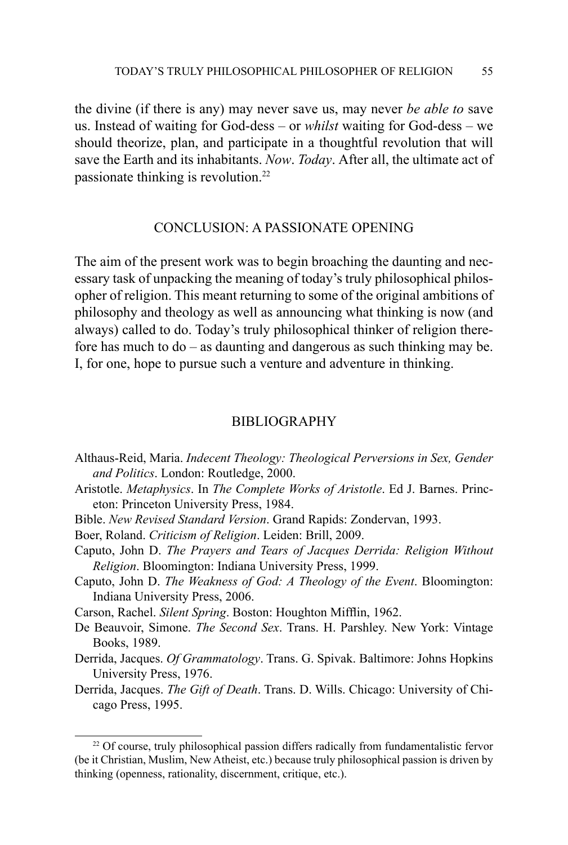the divine (if there is any) may never save us, may never *be able to* save us. Instead of waiting for God-dess – or *whilst* waiting for God-dess – we should theorize, plan, and participate in a thoughtful revolution that will save the Earth and its inhabitants. *Now*. *Today*. After all, the ultimate act of passionate thinking is revolution.22

#### Conclusion: A Passionate Opening

The aim of the present work was to begin broaching the daunting and necessary task of unpacking the meaning of today's truly philosophical philosopher of religion. This meant returning to some of the original ambitions of philosophy and theology as well as announcing what thinking is now (and always) called to do. Today's truly philosophical thinker of religion therefore has much to do – as daunting and dangerous as such thinking may be. I, for one, hope to pursue such a venture and adventure in thinking.

#### **BIBLIOGRAPHY**

- Althaus-Reid, Maria. *Indecent Theology: Theological Perversions in Sex, Gender and Politics*. London: Routledge, 2000.
- Aristotle. *Metaphysics*. In *The Complete Works of Aristotle*. Ed J. Barnes. Princeton: Princeton University Press, 1984.
- Bible. *New Revised Standard Version*. Grand Rapids: Zondervan, 1993.
- Boer, Roland. *Criticism of Religion*. Leiden: Brill, 2009.
- Caputo, John D. *The Prayers and Tears of Jacques Derrida: Religion Without Religion*. Bloomington: Indiana University Press, 1999.
- Caputo, John D. *The Weakness of God: A Theology of the Event*. Bloomington: Indiana University Press, 2006.
- Carson, Rachel. *Silent Spring*. Boston: Houghton Mifflin, 1962.
- De Beauvoir, Simone. *The Second Sex*. Trans. H. Parshley. New York: Vintage Books, 1989.
- Derrida, Jacques. *Of Grammatology*. Trans. G. Spivak. Baltimore: Johns Hopkins University Press, 1976.
- Derrida, Jacques. *The Gift of Death*. Trans. D. Wills. Chicago: University of Chicago Press, 1995.

<sup>&</sup>lt;sup>22</sup> Of course, truly philosophical passion differs radically from fundamentalistic fervor (be it Christian, Muslim, New Atheist, etc.) because truly philosophical passion is driven by thinking (openness, rationality, discernment, critique, etc.).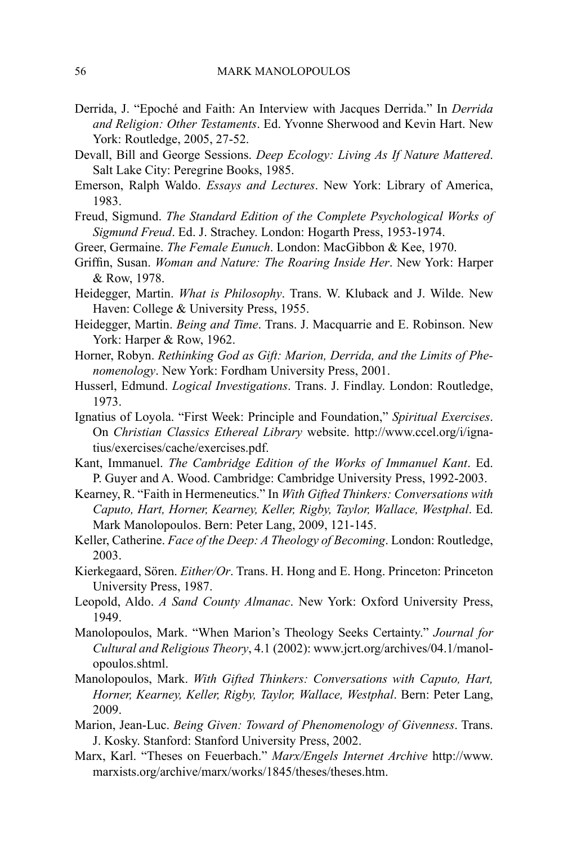- Derrida, J. "Epoché and Faith: An Interview with Jacques Derrida." In *Derrida and Religion: Other Testaments*. Ed. Yvonne Sherwood and Kevin Hart. New York: Routledge, 2005, 27-52.
- Devall, Bill and George Sessions. *Deep Ecology: Living As If Nature Mattered*. Salt Lake City: Peregrine Books, 1985.
- Emerson, Ralph Waldo. *Essays and Lectures*. New York: Library of America, 1983.
- Freud, Sigmund. *The Standard Edition of the Complete Psychological Works of Sigmund Freud*. Ed. J. Strachey. London: Hogarth Press, 1953-1974.
- Greer, Germaine. *The Female Eunuch*. London: MacGibbon & Kee, 1970.
- Griffin, Susan. *Woman and Nature: The Roaring Inside Her*. New York: Harper & Row, 1978.
- Heidegger, Martin. *What is Philosophy*. Trans. W. Kluback and J. Wilde. New Haven: College & University Press, 1955.
- Heidegger, Martin. *Being and Time*. Trans. J. Macquarrie and E. Robinson. New York: Harper & Row, 1962.
- Horner, Robyn. *Rethinking God as Gift: Marion, Derrida, and the Limits of Phenomenology*. New York: Fordham University Press, 2001.
- Husserl, Edmund. *Logical Investigations*. Trans. J. Findlay. London: Routledge, 1973.
- Ignatius of Loyola. "First Week: Principle and Foundation," *Spiritual Exercises*. On *Christian Classics Ethereal Library* website. http://www.ccel.org/i/ignatius/exercises/cache/exercises.pdf.
- Kant, Immanuel. *The Cambridge Edition of the Works of Immanuel Kant*. Ed. P. Guyer and A. Wood. Cambridge: Cambridge University Press, 1992-2003.
- Kearney, R. "Faith in Hermeneutics." In *With Gifted Thinkers: Conversations with Caputo, Hart, Horner, Kearney, Keller, Rigby, Taylor, Wallace, Westphal*. Ed. Mark Manolopoulos. Bern: Peter Lang, 2009, 121-145.
- Keller, Catherine. *Face of the Deep: A Theology of Becoming*. London: Routledge, 2003.
- Kierkegaard, Sören. *Either/Or*. Trans. H. Hong and E. Hong. Princeton: Princeton University Press, 1987.
- Leopold, Aldo. *A Sand County Almanac*. New York: Oxford University Press, 1949.
- Manolopoulos, Mark. "When Marion's Theology Seeks Certainty." *Journal for Cultural and Religious Theory*, 4.1 (2002): www.jcrt.org/archives/04.1/manolopoulos.shtml.
- Manolopoulos, Mark. *With Gifted Thinkers: Conversations with Caputo, Hart, Horner, Kearney, Keller, Rigby, Taylor, Wallace, Westphal*. Bern: Peter Lang, 2009.
- Marion, Jean-Luc. *Being Given: Toward of Phenomenology of Givenness*. Trans. J. Kosky. Stanford: Stanford University Press, 2002.
- Marx, Karl. "Theses on Feuerbach." *Marx/Engels Internet Archive* http://www. marxists.org/archive/marx/works/1845/theses/theses.htm.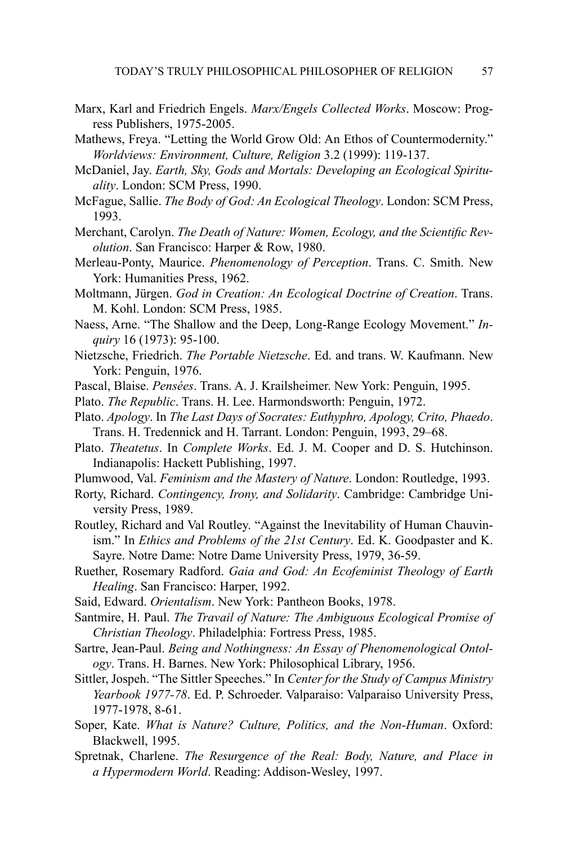- Marx, Karl and Friedrich Engels. *Marx/Engels Collected Works*. Moscow: Progress Publishers, 1975-2005.
- Mathews, Freya. "Letting the World Grow Old: An Ethos of Countermodernity." *Worldviews: Environment, Culture, Religion* 3.2 (1999): 119-137.
- McDaniel, Jay. *Earth, Sky, Gods and Mortals: Developing an Ecological Spirituality*. London: SCM Press, 1990.
- McFague, Sallie. *The Body of God: An Ecological Theology*. London: SCM Press, 1993.
- Merchant, Carolyn. *The Death of Nature: Women, Ecology, and the Scientific Revolution*. San Francisco: Harper & Row, 1980.
- Merleau-Ponty, Maurice. *Phenomenology of Perception*. Trans. C. Smith. New York: Humanities Press, 1962.
- Moltmann, Jürgen. *God in Creation: An Ecological Doctrine of Creation*. Trans. M. Kohl. London: SCM Press, 1985.
- Naess, Arne. "The Shallow and the Deep, Long-Range Ecology Movement." *Inquiry* 16 (1973): 95-100.
- Nietzsche, Friedrich. *The Portable Nietzsche*. Ed. and trans. W. Kaufmann. New York: Penguin, 1976.
- Pascal, Blaise. *Pensées*. Trans. A. J. Krailsheimer. New York: Penguin, 1995.
- Plato. *The Republic*. Trans. H. Lee. Harmondsworth: Penguin, 1972.
- Plato. *Apology*. In *The Last Days of Socrates: Euthyphro, Apology, Crito, Phaedo*. Trans. H. Tredennick and H. Tarrant. London: Penguin, 1993, 29–68.
- Plato. *Theatetus*. In *Complete Works*. Ed. J. M. Cooper and D. S. Hutchinson. Indianapolis: Hackett Publishing, 1997.
- Plumwood, Val. *Feminism and the Mastery of Nature*. London: Routledge, 1993.
- Rorty, Richard. *Contingency, Irony, and Solidarity*. Cambridge: Cambridge University Press, 1989.
- Routley, Richard and Val Routley. "Against the Inevitability of Human Chauvinism." In *Ethics and Problems of the 21st Century*. Ed. K. Goodpaster and K. Sayre. Notre Dame: Notre Dame University Press, 1979, 36-59.
- Ruether, Rosemary Radford. *Gaia and God: An Ecofeminist Theology of Earth Healing*. San Francisco: Harper, 1992.
- Said, Edward. *Orientalism*. New York: Pantheon Books, 1978.
- Santmire, H. Paul. *The Travail of Nature: The Ambiguous Ecological Promise of Christian Theology*. Philadelphia: Fortress Press, 1985.
- Sartre, Jean-Paul. *Being and Nothingness: An Essay of Phenomenological Ontology*. Trans. H. Barnes. New York: Philosophical Library, 1956.
- Sittler, Jospeh. "The Sittler Speeches." In *Center for the Study of Campus Ministry Yearbook 1977-78*. Ed. P. Schroeder. Valparaiso: Valparaiso University Press, 1977-1978, 8-61.
- Soper, Kate. *What is Nature? Culture, Politics, and the Non-Human*. Oxford: Blackwell, 1995.
- Spretnak, Charlene. *The Resurgence of the Real: Body, Nature, and Place in a Hypermodern World*. Reading: Addison-Wesley, 1997.